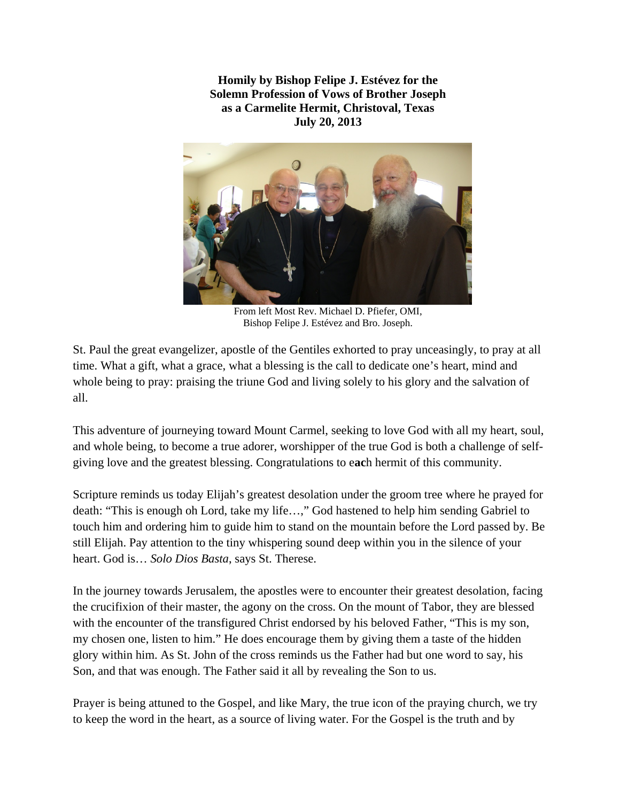**Homily by Bishop Felipe J. Estévez for the Solemn Profession of Vows of Brother Joseph as a Carmelite Hermit, Christoval, Texas July 20, 2013** 



From left Most Rev. Michael D. Pfiefer, OMI, Bishop Felipe J. Estévez and Bro. Joseph.

St. Paul the great evangelizer, apostle of the Gentiles exhorted to pray unceasingly, to pray at all time. What a gift, what a grace, what a blessing is the call to dedicate one's heart, mind and whole being to pray: praising the triune God and living solely to his glory and the salvation of all.

This adventure of journeying toward Mount Carmel, seeking to love God with all my heart, soul, and whole being, to become a true adorer, worshipper of the true God is both a challenge of selfgiving love and the greatest blessing. Congratulations to e**ac**h hermit of this community.

Scripture reminds us today Elijah's greatest desolation under the groom tree where he prayed for death: "This is enough oh Lord, take my life…," God hastened to help him sending Gabriel to touch him and ordering him to guide him to stand on the mountain before the Lord passed by. Be still Elijah. Pay attention to the tiny whispering sound deep within you in the silence of your heart. God is… *Solo Dios Basta*, says St. Therese.

In the journey towards Jerusalem, the apostles were to encounter their greatest desolation, facing the crucifixion of their master, the agony on the cross. On the mount of Tabor, they are blessed with the encounter of the transfigured Christ endorsed by his beloved Father, "This is my son, my chosen one, listen to him." He does encourage them by giving them a taste of the hidden glory within him. As St. John of the cross reminds us the Father had but one word to say, his Son, and that was enough. The Father said it all by revealing the Son to us.

Prayer is being attuned to the Gospel, and like Mary, the true icon of the praying church, we try to keep the word in the heart, as a source of living water. For the Gospel is the truth and by